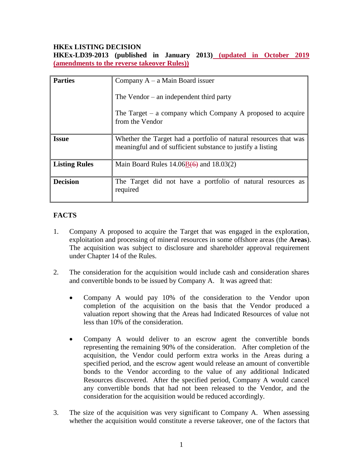### **HKEx LISTING DECISION**

**HKEx-LD39-2013 (published in January 2013) (updated in October 2019 (amendments to the reverse takeover Rules))**

| <b>Parties</b>       | Company $A - a$ Main Board issuer                                                                                               |
|----------------------|---------------------------------------------------------------------------------------------------------------------------------|
|                      | The Vendor $-$ an independent third party                                                                                       |
|                      | The Target $-$ a company which Company A proposed to acquire<br>from the Vendor                                                 |
| <b>Issue</b>         | Whether the Target had a portfolio of natural resources that was<br>meaningful and of sufficient substance to justify a listing |
| <b>Listing Rules</b> | Main Board Rules $14.06B(6)$ and $18.03(2)$                                                                                     |
| <b>Decision</b>      | The Target did not have a portfolio of natural resources as<br>required                                                         |

# **FACTS**

- 1. Company A proposed to acquire the Target that was engaged in the exploration, exploitation and processing of mineral resources in some offshore areas (the **Areas**). The acquisition was subject to disclosure and shareholder approval requirement under Chapter 14 of the Rules.
- 2. The consideration for the acquisition would include cash and consideration shares and convertible bonds to be issued by Company A. It was agreed that:
	- Company A would pay 10% of the consideration to the Vendor upon completion of the acquisition on the basis that the Vendor produced a valuation report showing that the Areas had Indicated Resources of value not less than 10% of the consideration.
	- Company A would deliver to an escrow agent the convertible bonds representing the remaining 90% of the consideration. After completion of the acquisition, the Vendor could perform extra works in the Areas during a specified period, and the escrow agent would release an amount of convertible bonds to the Vendor according to the value of any additional Indicated Resources discovered. After the specified period, Company A would cancel any convertible bonds that had not been released to the Vendor, and the consideration for the acquisition would be reduced accordingly.
- 3. The size of the acquisition was very significant to Company A. When assessing whether the acquisition would constitute a reverse takeover, one of the factors that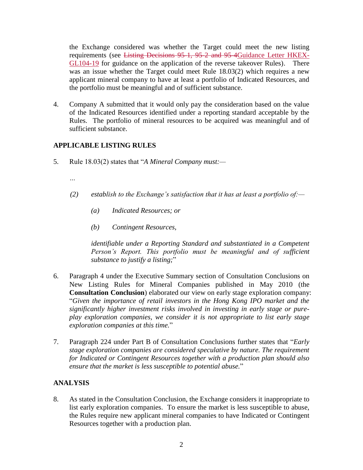the Exchange considered was whether the Target could meet the new listing requirements (see Listing Decisions 95-1, 95-2 and 95-4Guidance Letter HKEX-GL104-19 for guidance on the application of the reverse takeover Rules). There was an issue whether the Target could meet Rule 18.03(2) which requires a new applicant mineral company to have at least a portfolio of Indicated Resources, and the portfolio must be meaningful and of sufficient substance.

4. Company A submitted that it would only pay the consideration based on the value of the Indicated Resources identified under a reporting standard acceptable by the Rules. The portfolio of mineral resources to be acquired was meaningful and of sufficient substance.

## **APPLICABLE LISTING RULES**

- 5. Rule 18.03(2) states that "*A Mineral Company must:—*
	- *…*
	- *(2) establish to the Exchange's satisfaction that it has at least a portfolio of:—*
		- *(a) Indicated Resources; or*
		- *(b) Contingent Resources,*

*identifiable under a Reporting Standard and substantiated in a Competent Person's Report. This portfolio must be meaningful and of sufficient substance to justify a listing;*"

- 6. Paragraph 4 under the Executive Summary section of Consultation Conclusions on New Listing Rules for Mineral Companies published in May 2010 (the **Consultation Conclusion**) elaborated our view on early stage exploration company: "*Given the importance of retail investors in the Hong Kong IPO market and the significantly higher investment risks involved in investing in early stage or pureplay exploration companies, we consider it is not appropriate to list early stage exploration companies at this time.*"
- 7. Paragraph 224 under Part B of Consultation Conclusions further states that "*Early stage exploration companies are considered speculative by nature. The requirement for Indicated or Contingent Resources together with a production plan should also ensure that the market is less susceptible to potential abuse.*"

#### **ANALYSIS**

8. As stated in the Consultation Conclusion, the Exchange considers it inappropriate to list early exploration companies. To ensure the market is less susceptible to abuse, the Rules require new applicant mineral companies to have Indicated or Contingent Resources together with a production plan.